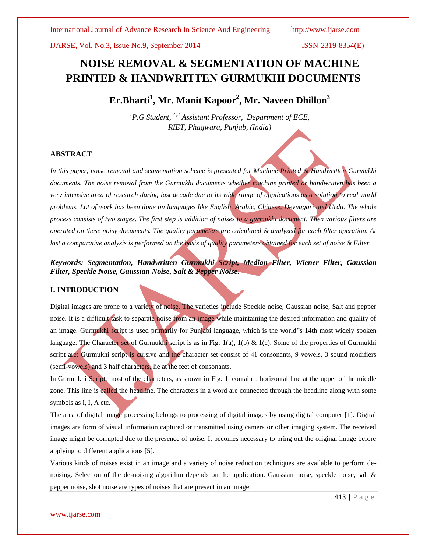IJARSE, Vol. No.3, Issue No.9, September 2014 ISSN-2319-8354(E)

# **NOISE REMOVAL & SEGMENTATION OF MACHINE PRINTED & HANDWRITTEN GURMUKHI DOCUMENTS**

**Er.Bharti<sup>1</sup> , Mr. Manit Kapoor<sup>2</sup> , Mr. Naveen Dhillon<sup>3</sup>**

*<sup>1</sup>P.G Student, <sup>2</sup> ,3 Assistant Professor, Department of ECE, RIET, Phagwara, Punjab, (India)*

#### **ABSTRACT**

*In this paper, noise removal and segmentation scheme is presented for Machine Printed & Handwritten Gurmukhi documents. The noise removal from the Gurmukhi documents whether machine printed or handwritten has been a very intensive area of research during last decade due to its wide range of applications as a solution to real world problems. Lot of work has been done on languages like English, Arabic, Chinese, Devnagari and Urdu. The whole process consists of two stages. The first step is addition of noises to a gurmukhi document. Then various filters are operated on these noisy documents. The quality parameters are calculated & analyzed for each filter operation. At*  last a comparative analysis is performed on the basis of quality parameters obtained for each set of noise & Filter.

*Keywords: Segmentation, Handwritten Gurmukhi Script, Median Filter, Wiener Filter, Gaussian Filter, Speckle Noise, Gaussian Noise, Salt & Pepper Noise.*

### **I. INTRODUCTION**

Digital images are prone to a variety of noise. The varieties include Speckle noise, Gaussian noise, Salt and pepper noise. It is a difficult task to separate noise from an image while maintaining the desired information and quality of an image. Gurmukhi script is used primarily for Punjabi language, which is the world"s 14th most widely spoken language. The Character set of Gurmukhi script is as in Fig. 1(a), 1(b)  $\&$  1(c). Some of the properties of Gurmukhi script are: Gurmukhi script is cursive and the character set consist of 41 consonants, 9 vowels, 3 sound modifiers (semi-vowels) and 3 half characters, lie at the feet of consonants.

In Gurmukhi Script, most of the characters, as shown in Fig. 1, contain a horizontal line at the upper of the middle zone. This line is called the headline. The characters in a word are connected through the headline along with some symbols as i, I, A etc.

The area of digital image processing belongs to processing of digital images by using digital computer [1]. Digital images are form of visual information captured or transmitted using camera or other imaging system. The received image might be corrupted due to the presence of noise. It becomes necessary to bring out the original image before applying to different applications [5].

Various kinds of noises exist in an image and a variety of noise reduction techniques are available to perform denoising. Selection of the de-noising algorithm depends on the application. Gaussian noise, speckle noise, salt & pepper noise, shot noise are types of noises that are present in an image.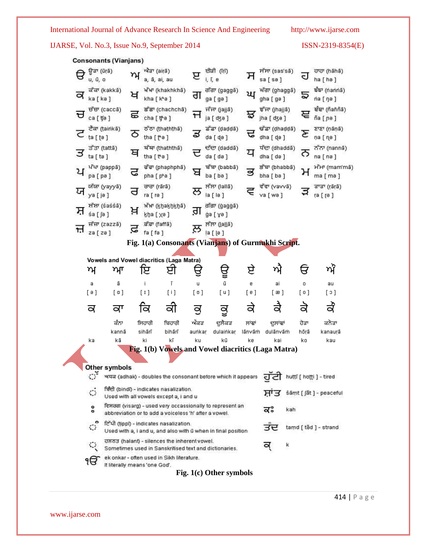IJARSE, Vol. No.3, Issue No.9, September 2014 ISSN-2319-8354(E)

| <b>Consonants (Vianjans)</b>                                                                                              |                                                                                                                 |                                                     |          |                                    |                         |                              |            |                            |
|---------------------------------------------------------------------------------------------------------------------------|-----------------------------------------------------------------------------------------------------------------|-----------------------------------------------------|----------|------------------------------------|-------------------------|------------------------------|------------|----------------------------|
| ਉੜਾ (ūṛā)<br>u, ū, o                                                                                                      | η                                                                                                               | ਐਂਡਾ (airā)<br>a, ā, ai, au                         | ੲ        | ਈਕੀ (Tri)<br>i, ī, e               | ਸ                       | ਸੱਸਾ (sas'sã)<br>sa [se]     | J          | ਹਾਹਾ (hāhā)<br>ha [ hə ]   |
| ਕ<br>ka [ ka ]                                                                                                            | ਕੱਕਾ (kakkā)<br>ਖ                                                                                               | ਖੱਖਾ (khakhkhā)<br>kha [ kʰə ]                      | ਗ        | गॅग (gaggā)<br>ga [ ga ]           | ਘ                       | ਘੱਗਾ (ghaggã)<br>gha [ ga ]  |            | ৰ্ছক' (nanna)<br>па ( па ) |
| ਚ<br>ca [ tʃə ]                                                                                                           | ਚੱਚਾ (caccā)<br>ਛ                                                                                               | ਛੱਛਾ (chachchā)<br>cha[tʰa]                         | H        | ਜੱਜਾ (jajjā)                       | ਝ                       | ਝੱਜਾ (jhajjā)<br>jha [ dʒə ] | ਞ          | ਵੰਞਾ (ñaññã)<br>ñа [ ɲə ]  |
| ta [ ta ]                                                                                                                 | ਟੈਕਾ (ṭairikā)<br>ठ                                                                                             | ਠੱਠਾ (thaththa)<br>tha [ [*a ]                      | ತ        | ਡੱਡਾ (dadda)<br>da [ de ]          | ᢎ                       | ਢੱਡਾ (dhaddã)<br>dha [ da ]  | c          | ਣਾਣਾ (ņāņā)<br>па [ пе ]   |
| ਤੱਤਾ (tattā)<br>ਤ<br>ta [ ta ]                                                                                            | ਥ                                                                                                               | ਥੱਥਾ (thaththaਂ)<br>tha [ta]                        |          | ਦੱਦਾ (daddā)<br>da [ də ]          | ਧ                       | ਧੱਦਾ (dhaddā)<br>dha [ də ]  | ਨ          | ਨੱਨਾ (nanna)<br>na [ nə ]  |
| ਪ<br>pa [ pa ]                                                                                                            | ਪੱਪਾ (pappa)<br>ਫ                                                                                               | ਫੱਫਾ (phaphphã)<br>pha [p <sup>ka</sup> ]           | ਬ        | ਬੱਬਾ (babbã)<br>ba [bə]            | ತ                       | ਭੱਬਾ (bhabbā)<br>bha [ ba ]  | Η          | ਮੱਮਾ (mam'mā)<br>ma [ma ]  |
| ਯ<br>ya [ja]                                                                                                              | ਯੱਯਾ (yayyā)<br>ਰ                                                                                               | ਰਾਰਾ (rārā)<br>ra [ra]                              | ਲ        | ਲੱਲਾ (lallā)<br>la [lə]            |                         | ਵੱਵਾ (vavvã)<br>va [ wa ]    |            | ਕਾੜਾ ((arā)<br>ra [ ra ]   |
| ਸ਼<br>śa [ʃə]                                                                                                             | ਸ਼ੱਸ਼ਾ (śaśśã)<br>ਖ਼                                                                                            | ਖ਼ੱਖਾ (khakhkhā)<br>kha [xə]                        | ਗ਼       | तॉता (gaggā)<br>ga [ yə ]          |                         |                              |            |                            |
| ਜ਼<br>za [ za ]                                                                                                           | ਜੱਜ਼ਾ (zazzã)<br>ਫ਼                                                                                             | ਫ਼ੱਢਾ (faffã)<br>fa [ fa ]                          | ਲ        | ਲੱਲਾ ( <u>[all</u> ã)<br>la [ [a ] |                         |                              |            |                            |
|                                                                                                                           |                                                                                                                 | Fig. 1(a) Consonants (Vianjans) of Gurmukhi Script. |          |                                    |                         |                              |            |                            |
|                                                                                                                           |                                                                                                                 | Vowels and Vowel diacritics (Laga Matra)            |          |                                    |                         |                              |            |                            |
| ηY                                                                                                                        | ਆ                                                                                                               | ਇ<br>ੲਾ                                             |          | ਉ                                  | ਏ                       | ηì                           | ਓ          | ਅੰ                         |
|                                                                                                                           |                                                                                                                 | ī<br>Ť                                              |          | ū                                  |                         |                              |            |                            |
| a<br>[ a ]                                                                                                                | ā<br>[ a ]                                                                                                      | $[1]$<br>[i]                                        | u<br>[ប] | [ u ]                              | 6<br>[e]                | ai<br>[æ]                    | o<br>[ 0 ] | au<br>[၁]                  |
|                                                                                                                           |                                                                                                                 |                                                     |          |                                    |                         |                              |            |                            |
| ਕ                                                                                                                         | ਕਾ                                                                                                              | ਕਿ<br>ਕੀ                                            | ਕੁ       | ਕੂ                                 | ਕੇ                      | ਕੈ                           | ਕੇ         | ਕੇ                         |
|                                                                                                                           | ਕੰਨਾ                                                                                                            | ਸਿਹਾਰੀ<br>ਬਿਹਾਰੀ                                    | ਅੰਕੜ     | ਦੁਲੈਂਕੜ                            | ਲਾਂਞਾਂ                  | ਦੁਲਾਂਞਾਂ                     | ਹੋੜਾ       | ਕਨੈੜਾ                      |
|                                                                                                                           | kannā                                                                                                           | sihārī<br>bihārī                                    | aunkar   | dulainkar                          | lānvāṁ                  | dulānvām                     | hōṛā       | kanaurā                    |
| ka                                                                                                                        | kā                                                                                                              | kī<br>ki                                            | ku       | kū                                 | ke                      | kai                          | ko         | kau                        |
| Fig. 1(b) Vowels and Vowel diacritics (Laga Matra)                                                                        |                                                                                                                 |                                                     |          |                                    |                         |                              |            |                            |
| Other symbols                                                                                                             |                                                                                                                 |                                                     |          |                                    |                         |                              |            |                            |
| $\mathbb{C}^{\mathbb{Z}}$<br>ਹਟੀ huttī [ hotti ] - tired<br>भयन्व (adhak) - doubles the consonant before which it appears |                                                                                                                 |                                                     |          |                                    |                         |                              |            |                            |
| ਬਿੰਦੀ (bindī) - indicates nasalization.<br>ં<br>ਸਾਤ<br>Used with all vowels except a, I and u                             |                                                                                                                 |                                                     |          |                                    | šāmt [ ʃãt ] - peaceful |                              |            |                            |
| ਵਿਸਰਗ (visarg) - used very occassionally to represent an<br>ô<br>abbreviation or to add a voiceless 'h' after a vowel.    |                                                                                                                 |                                                     |          |                                    | ਕਃ                      | kah                          |            |                            |
| $\mathbb{C}$                                                                                                              | ਟਿੱਪੀ (tippī) - indicates nasalization.<br>Used with a, i and u, and also with ū when in final position         |                                                     |          |                                    |                         | ਤੰਦ                          |            | tamd [ tåd ] - strand      |
| Q                                                                                                                         | ਹਲਨਤ (halant) - silences the inherent vowel.<br>ĸ<br>¤<br>Sometimes used in Sanskritised text and dictionaries. |                                                     |          |                                    |                         |                              |            |                            |
| ek onkar - often used in Sikh literature.<br>۹Ħ<br>It literally means 'one God'.                                          |                                                                                                                 |                                                     |          |                                    |                         |                              |            |                            |
| Fig. $1(c)$ Other symbols                                                                                                 |                                                                                                                 |                                                     |          |                                    |                         |                              |            |                            |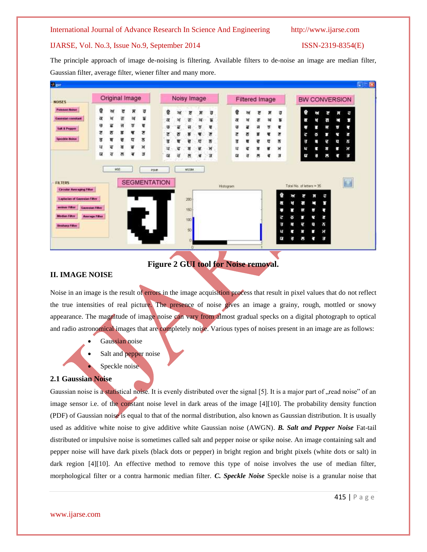#### IJARSE, Vol. No.3, Issue No.9, September 2014 ISSN-2319-8354(E)

The principle approach of image de-noising is filtering. Available filters to de-noise an image are median filter, Gaussian filter, average filter, wiener filter and many more.



**Figure 2 GUI tool for Noise removal.**

#### **II. IMAGE NOISE**

Noise in an image is the result of errors in the image acquisition process that result in pixel values that do not reflect the true intensities of real picture. The presence of noise gives an image a grainy, rough, mottled or snowy appearance. The magnitude of image noise can vary from almost gradual specks on a digital photograph to optical and radio astronomical images that are completely noise. Various types of noises present in an image are as follows:

- Gaussian noise
- Salt and pepper noise
- Speckle noise

### **2.1 Gaussian Noise**

Gaussian noise is a statistical noise. It is evenly distributed over the signal [5]. It is a major part of "read noise" of an image sensor i.e. of the constant noise level in dark areas of the image [4][10]. The probability density function (PDF) of Gaussian noise is equal to that of the normal distribution, also known as Gaussian distribution. It is usually used as additive white noise to give additive white Gaussian noise (AWGN). *B. Salt and Pepper Noise* Fat-tail distributed or impulsive noise is sometimes called salt and pepper noise or spike noise. An image containing salt and pepper noise will have dark pixels (black dots or pepper) in bright region and bright pixels (white dots or salt) in dark region [4][10]. An effective method to remove this type of noise involves the use of median filter, morphological filter or a contra harmonic median filter. *C. Speckle Noise* Speckle noise is a granular noise that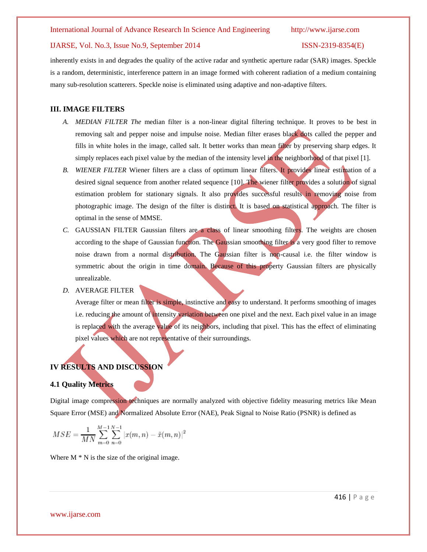#### IJARSE, Vol. No.3, Issue No.9, September 2014 ISSN-2319-8354(E)

inherently exists in and degrades the quality of the active radar and synthetic aperture radar (SAR) images. Speckle is a random, deterministic, interference pattern in an image formed with coherent radiation of a medium containing many sub-resolution scatterers. Speckle noise is eliminated using adaptive and non-adaptive filters.

#### **III. IMAGE FILTERS**

- *A. MEDIAN FILTER The* median filter is a non-linear digital filtering technique. It proves to be best in removing salt and pepper noise and impulse noise. Median filter erases black dots called the pepper and fills in white holes in the image, called salt. It better works than mean filter by preserving sharp edges. It simply replaces each pixel value by the median of the intensity level in the neighborhood of that pixel [1].
- *B. WIENER FILTER* Wiener filters are a class of optimum linear filters. It provides linear estimation of a desired signal sequence from another related sequence [10]. The wiener filter provides a solution of signal estimation problem for stationary signals. It also provides successful results in removing noise from photographic image. The design of the filter is distinct. It is based on statistical approach. The filter is optimal in the sense of MMSE.
- *C.* GAUSSIAN FILTER Gaussian filters are a class of linear smoothing filters. The weights are chosen according to the shape of Gaussian function. The Gaussian smoothing filter is a very good filter to remove noise drawn from a normal distribution. The Gaussian filter is non-causal i.e. the filter window is symmetric about the origin in time domain. Because of this property Gaussian filters are physically unrealizable.
- *D.* AVERAGE FILTER

Average filter or mean filter is simple, instinctive and easy to understand. It performs smoothing of images i.e. reducing the amount of intensity variation between one pixel and the next. Each pixel value in an image is replaced with the average value of its neighbors, including that pixel. This has the effect of eliminating pixel values which are not representative of their surroundings.

## **IV RESULTS AND DISCUSSION**

#### **4.1 Quality Metrics**

Digital image compression techniques are normally analyzed with objective fidelity measuring metrics like Mean Square Error (MSE) and Normalized Absolute Error (NAE), Peak Signal to Noise Ratio (PSNR) is defined as

$$
MSE = \frac{1}{MN}\sum_{m=0}^{M-1}\sum_{n=0}^{N-1}|x(m,n)-\tilde{x}(m,n)|^2
$$

Where  $M * N$  is the size of the original image.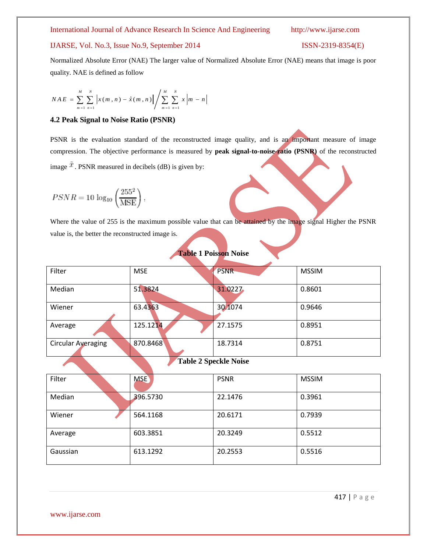### IJARSE, Vol. No.3, Issue No.9, September 2014 ISSN-2319-8354(E)

Normalized Absolute Error (NAE) The larger value of Normalized Absolute Error (NAE) means that image is poor quality. NAE is defined as follow

$$
NAE = \sum_{m=1}^{M} \sum_{n=1}^{N} \left| x(m,n) - \hat{x}(m,n) \right| / \sum_{m=1}^{M} \sum_{n=1}^{N} x \left| m-n \right|
$$

#### **4.2 Peak Signal to Noise Ratio (PSNR)**

PSNR is the evaluation standard of the reconstructed image quality, and is an important measure of image compression. The objective performance is measured by **peak signal-to-noise-ratio (PSNR)** of the reconstructed image  $\tilde{x}$ . PSNR measured in decibels (dB) is given by:

$$
PSNR = 10 \log_{10} \left(\frac{255^2}{\text{MSE}}\right),
$$

Where the value of 255 is the maximum possible value that can be attained by the image signal Higher the PSNR value is, the better the reconstructed image is.

| Filter                    | <b>MSE</b> | <b>PSNR</b>                    | <b>MSSIM</b> |
|---------------------------|------------|--------------------------------|--------------|
| Median                    | 51.3824    | 31.0227                        | 0.8601       |
| Wiener                    | 63.4363    | 30.1074                        | 0.9646       |
| Average                   | 125.1214   | 27.1575                        | 0.8951       |
| <b>Circular Averaging</b> | 870.8468   | 18.7314                        | 0.8751       |
|                           |            | $\pi$ il agosti M <sup>.</sup> |              |

# **Table 1 Poisson Noise**

#### **Table 2 Speckle Noise**

| Filter   | <b>MSE</b> | <b>PSNR</b> | <b>MSSIM</b> |  |
|----------|------------|-------------|--------------|--|
| Median   | 396.5730   | 22.1476     | 0.3961       |  |
| Wiener   | 564.1168   | 20.6171     | 0.7939       |  |
| Average  | 603.3851   | 20.3249     | 0.5512       |  |
| Gaussian | 613.1292   | 20.2553     | 0.5516       |  |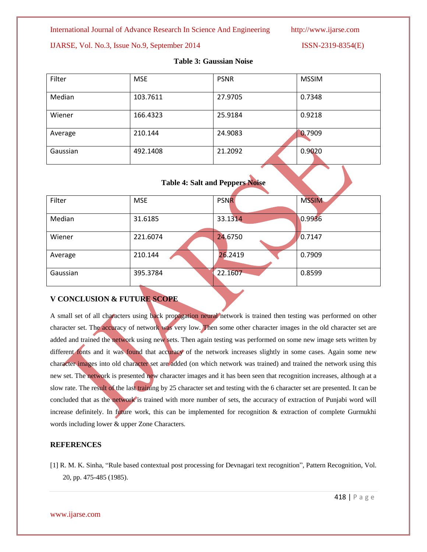### IJARSE, Vol. No.3, Issue No.9, September 2014 ISSN-2319-8354(E)

| Filter   | <b>MSE</b> | <b>PSNR</b> | <b>MSSIM</b> |
|----------|------------|-------------|--------------|
| Median   | 103.7611   | 27.9705     | 0.7348       |
| Wiener   | 166.4323   | 25.9184     | 0.9218       |
| Average  | 210.144    | 24.9083     | 0.7909       |
| Gaussian | 492.1408   | 21.2092     | 0.9020       |

### **Table 3: Gaussian Noise**

| <b>Table 4: Salt and Peppers Noise</b> |  |  |  |  |
|----------------------------------------|--|--|--|--|
|                                        |  |  |  |  |

| Filter   | <b>MSE</b> | <b>PSNR</b> | <b>MSSIM</b>    |
|----------|------------|-------------|-----------------|
| Median   | 31.6185    | 33.1314     | 0.9936          |
| Wiener   | 221.6074   | 24,6750     | $\sqrt{0.7147}$ |
| Average  | 210.144    | 26.2419     | 0.7909          |
| Gaussian | 395.3784   | 22.1607     | 0.8599          |

### **V CONCLUSION & FUTURE SCOPE**

A small set of all characters using back propagation neural network is trained then testing was performed on other character set. The accuracy of network was very low. Then some other character images in the old character set are added and trained the network using new sets. Then again testing was performed on some new image sets written by different fonts and it was found that accuracy of the network increases slightly in some cases. Again some new character images into old character set are added (on which network was trained) and trained the network using this new set. The network is presented new character images and it has been seen that recognition increases, although at a slow rate. The result of the last training by 25 character set and testing with the 6 character set are presented. It can be concluded that as the network is trained with more number of sets, the accuracy of extraction of Punjabi word will increase definitely. In future work, this can be implemented for recognition  $\&$  extraction of complete Gurmukhi words including lower & upper Zone Characters.

### **REFERENCES**

[1] R. M. K. Sinha, "Rule based contextual post processing for Devnagari text recognition", Pattern Recognition, Vol. 20, pp. 475-485 (1985).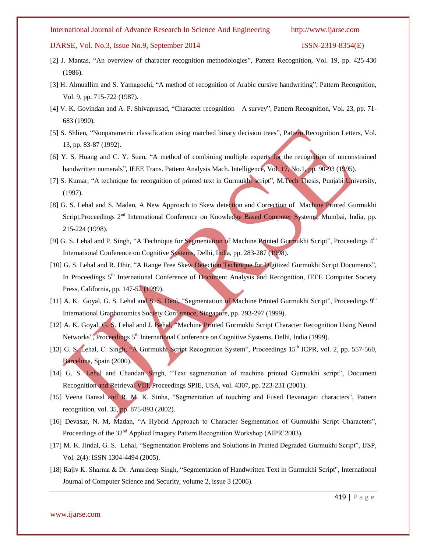#### IJARSE, Vol. No.3, Issue No.9, September 2014 ISSN-2319-8354(E)

- [2] J. Mantas, "An overview of character recognition methodologies", Pattern Recognition, Vol. 19, pp. 425-430 (1986).
- [3] H. Almuallim and S. Yamagochi, "A method of recognition of Arabic cursive handwriting", Pattern Recognition, Vol. 9, pp. 715-722 (1987).
- [4] V. K. Govindan and A. P. Shivaprasad, "Character recognition A survey", Pattern Recognition, Vol. 23, pp. 71- 683 (1990).
- [5] S. Shlien, "Nonparametric classification using matched binary decision trees", Pattern Recognition Letters, Vol. 13, pp. 83-87 (1992).
- [6] Y. S. Huang and C. Y. Suen, "A method of combining multiple experts for the recognition of unconstrained handwritten numerals", IEEE Trans. Pattern Analysis Mach. Intelligence, Vol. 17, No.1, pp. 90-93 (1995).
- [7] S. Kumar, "A technique for recognition of printed text in Gurmukhi script", M.Tech Thesis, Punjabi University, (1997).
- [8] G. S. Lehal and S. Madan, A New Approach to Skew detection and Correction of Machine Printed Gurmukhi Script,Proceedings 2<sup>nd</sup> International Conference on Knowledge Based Computer Systems, Mumbai, India, pp. 215-224 (1998).
- [9] G. S. Lehal and P. Singh, "A Technique for Segmentation of Machine Printed Gurmukhi Script", Proceedings 4<sup>th</sup> International Conference on Cognitive Systems, Delhi, India, pp. 283-287 (1998).
- [10] G. S. Lehal and R. Dhir, "A Range Free Skew Detection Technique for Digitized Gurmukhi Script Documents", In Proceedings 5<sup>th</sup> International Conference of Document Analysis and Recognition, IEEE Computer Society Press, California, pp. 147-52 (1999).
- [11] A. K. Goyal, G. S. Lehal and S. S. Deol, "Segmentation of Machine Printed Gurmukhi Script", Proceedings 9<sup>th</sup> International Graphonomics Society Conference, Singapore, pp. 293-297 (1999).
- [12] A. K. Goyal, G. S. Lehal and J. Behal, "Machine Printed Gurmukhi Script Character Recognition Using Neural Networks", Proceedings 5<sup>th</sup> International Conference on Cognitive Systems, Delhi, India (1999).
- [13] G. S. Lehal, C. Singh, "A Gurmukhi Script Recognition System", Proceedings 15<sup>th</sup> ICPR, vol. 2, pp. 557-560, Barcelona, Spain (2000).
- [14] G. S. Lehal and Chandan Singh, "Text segmentation of machine printed Gurmukhi script", Document Recognition and Retrieval VIII, Proceedings SPIE, USA, vol. 4307, pp. 223-231 (2001).
- [15] Veena Bansal and R. M. K. Sinha, "Segmentation of touching and Fused Devanagari characters", Pattern recognition, vol. 35, pp. 875-893 (2002).
- [16] Devasar, N. M, Madan, "A Hybrid Approach to Character Segmentation of Gurmukhi Script Characters", Proceedings of the 32<sup>nd</sup> Applied Imagery Pattern Recognition Workshop (AIPR'2003).
- [17] M. K. Jindal, G. S. Lehal, "Segmentation Problems and Solutions in Printed Degraded Gurmukhi Script", IJSP, Vol. 2(4): ISSN 1304-4494 (2005).
- [18] Rajiv K. Sharma & Dr. Amardeep Singh, "Segmentation of Handwritten Text in Gurmukhi Script", International Journal of Computer Science and Security, volume 2, issue 3 (2006).